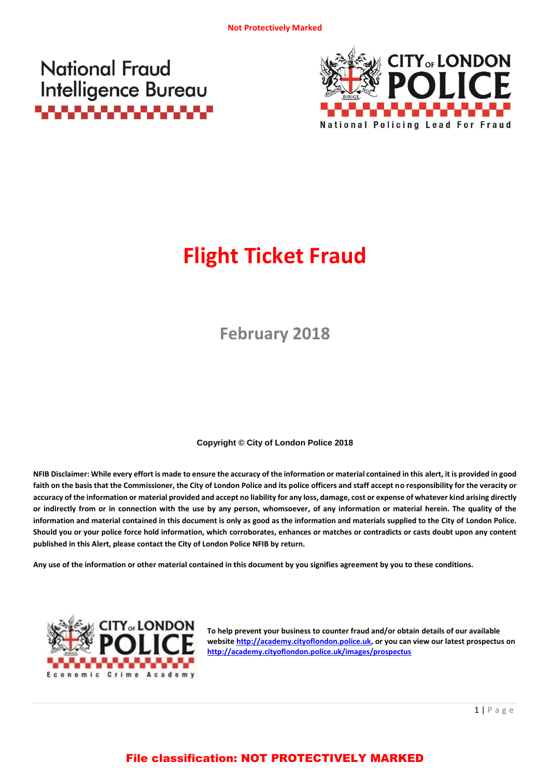



# **Flight Ticket Fraud**

**February 2018**

**Copyright © City of London Police 2018**

**NFIB Disclaimer: While every effort is made to ensure the accuracy of the information or material contained in this alert, it is provided in good faith on the basis that the Commissioner, the City of London Police and its police officers and staff accept no responsibility for the veracity or accuracy of the information or material provided and accept no liability for any loss, damage, cost or expense of whatever kind arising directly or indirectly from or in connection with the use by any person, whomsoever, of any information or material herein. The quality of the information and material contained in this document is only as good as the information and materials supplied to the City of London Police. Should you or your police force hold information, which corroborates, enhances or matches or contradicts or casts doubt upon any content published in this Alert, please contact the City of London Police NFIB by return.**

**Any use of the information or other material contained in this document by you signifies agreement by you to these conditions.**



**To help prevent your business to counter fraud and/or obtain details of our available website [http://academy.cityoflondon.police.uk,](http://academy.cityoflondon.police.uk/) or you can view our latest prospectus on <http://academy.cityoflondon.police.uk/images/prospectus>**

## File classification: NOT PROTECTIVELY MARKED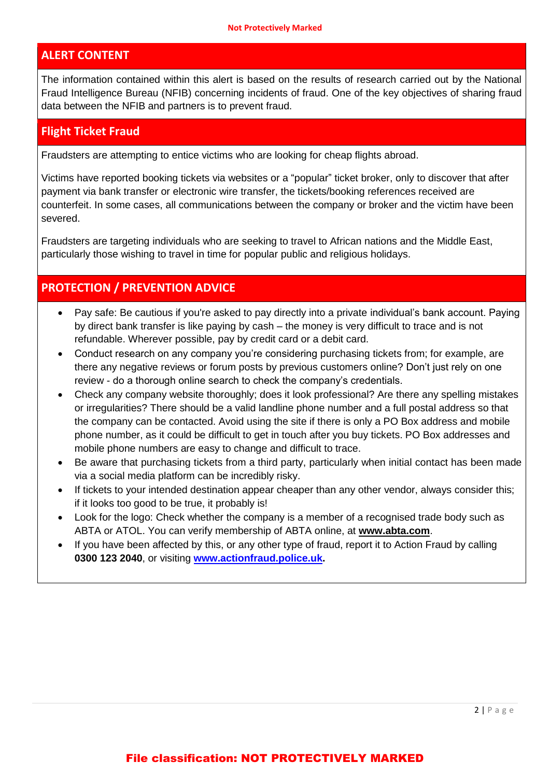#### **ALERT CONTENT**

The information contained within this alert is based on the results of research carried out by the National Fraud Intelligence Bureau (NFIB) concerning incidents of fraud. One of the key objectives of sharing fraud data between the NFIB and partners is to prevent fraud.

#### **Flight Ticket Fraud**

Fraudsters are attempting to entice victims who are looking for cheap flights abroad.

Victims have reported booking tickets via websites or a "popular" ticket broker, only to discover that after payment via bank transfer or electronic wire transfer, the tickets/booking references received are counterfeit. In some cases, all communications between the company or broker and the victim have been severed.

Fraudsters are targeting individuals who are seeking to travel to African nations and the Middle East, particularly those wishing to travel in time for popular public and religious holidays.

## **PROTECTION / PREVENTION ADVICE**

- Pay safe: Be cautious if you're asked to pay directly into a private individual's bank account. Paying by direct bank transfer is like paying by cash – the money is very difficult to trace and is not refundable. Wherever possible, pay by credit card or a debit card.
- Conduct research on any company you're considering purchasing tickets from; for example, are there any negative reviews or forum posts by previous customers online? Don't just rely on one review - do a thorough online search to check the company's credentials.
- Check any company website thoroughly; does it look professional? Are there any spelling mistakes or irregularities? There should be a valid landline phone number and a full postal address so that the company can be contacted. Avoid using the site if there is only a PO Box address and mobile phone number, as it could be difficult to get in touch after you buy tickets. PO Box addresses and mobile phone numbers are easy to change and difficult to trace.
- Be aware that purchasing tickets from a third party, particularly when initial contact has been made via a social media platform can be incredibly risky.
- If tickets to your intended destination appear cheaper than any other vendor, always consider this; if it looks too good to be true, it probably is!
- Look for the logo: Check whether the company is a member of a recognised trade body such as ABTA or ATOL. You can verify membership of ABTA online, at **[www.abta.com](http://www.abta.com/)**.
- If you have been affected by this, or any other type of fraud, report it to Action Fraud by calling **0300 123 2040**, or visiting **[www.actionfraud.police.uk.](http://www.actionfraud.police.uk/)**

#### File classification: NOT PROTECTIVELY MARKED